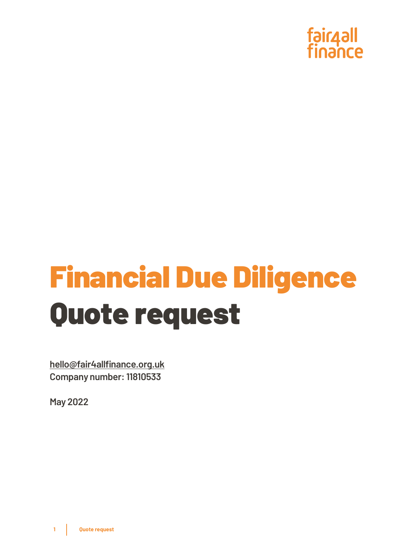

# Financial Due Diligence Quote request

**[hello@fair4allfinance.org.uk](mailto:hello@fair4allfinance.org.uk) Company number: 11810533**

**May 2022**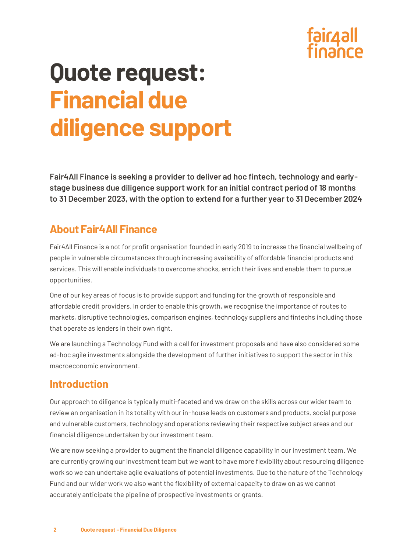

# **Quote request: Financial due diligence support**

**Fair4All Finance is seeking a provider to deliver ad hoc fintech, technology and earlystage business due diligence support work for an initial contract period of 18 months to 31 December 2023, with the option to extend for a further year to 31 December 2024**

### **About Fair4All Finance**

Fair4All Finance is a not for profit organisation founded in early 2019 to increase the financial wellbeing of people in vulnerable circumstances through increasing availability of affordable financial products and services. This will enable individuals to overcome shocks, enrich their lives and enable them to pursue opportunities.

One of our key areas of focus is to provide support and funding for the growth of responsible and affordable credit providers. In order to enable this growth, we recognise the importance of routes to markets, disruptive technologies, comparison engines, technology suppliers and fintechs including those that operate as lenders in their own right.

We are launching a Technology Fund with a call for investment proposals and have also considered some ad-hoc agile investments alongside the development of further initiatives to support the sector in this macroeconomic environment.

#### **Introduction**

Our approach to diligence is typically multi-faceted and we draw on the skills across our wider team to review an organisation in its totality with our in-house leads on customers and products, social purpose and vulnerable customers, technology and operations reviewing their respective subject areas and our financial diligence undertaken by our investment team.

We are now seeking a provider to augment the financial diligence capability in our investment team. We are currently growing our Investment team but we want to have more flexibility about resourcing diligence work so we can undertake agile evaluations of potential investments. Due to the nature of the Technology Fund and our wider work we also want the flexibility of external capacity to draw on as we cannot accurately anticipate the pipeline of prospective investments or grants.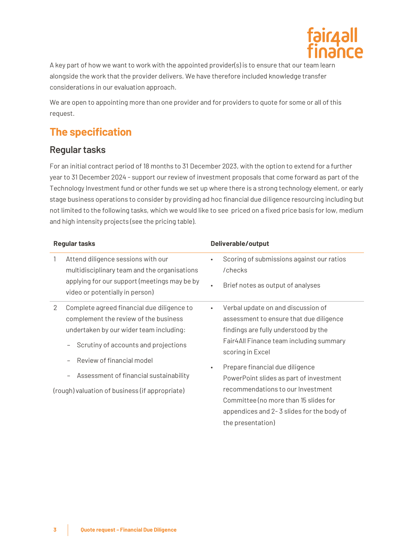

A key part of how we want to work with the appointed provider(s) is to ensure that our team learn alongside the work that the provider delivers. We have therefore included knowledge transfer considerations in our evaluation approach.

We are open to appointing more than one provider and for providers to quote for some or all of this request.

# **The specification**

#### **Regular tasks**

For an initial contract period of 18 months to 31 December 2023, with the option to extend for a further year to 31 December 2024 - support our review of investment proposals that come forward as part of the Technology Investment fund or other funds we set up where there is a strong technology element, or early stage business operations to consider by providing ad hoc financial due diligence resourcing including but not limited to the following tasks, which we would like to see priced on a fixed price basis for low, medium and high intensity projects (see the pricing table).

| <b>Regular tasks</b> |                                                                                                                                                                                                                                                                                                 | Deliverable/output                |                                                                                                                                                                                                                                                                                                                                                                           |
|----------------------|-------------------------------------------------------------------------------------------------------------------------------------------------------------------------------------------------------------------------------------------------------------------------------------------------|-----------------------------------|---------------------------------------------------------------------------------------------------------------------------------------------------------------------------------------------------------------------------------------------------------------------------------------------------------------------------------------------------------------------------|
|                      | Attend diligence sessions with our<br>multidisciplinary team and the organisations<br>applying for our support (meetings may be by<br>video or potentially in person)                                                                                                                           | $\bullet$<br>/checks<br>$\bullet$ | Scoring of submissions against our ratios<br>Brief notes as output of analyses                                                                                                                                                                                                                                                                                            |
| 2                    | Complete agreed financial due diligence to<br>complement the review of the business<br>undertaken by our wider team including:<br>Scrutiny of accounts and projections<br>Review of financial model<br>Assessment of financial sustainability<br>(rough) valuation of business (if appropriate) | scoring in Excel                  | Verbal update on and discussion of<br>assessment to ensure that due diligence<br>findings are fully understood by the<br>Fair4All Finance team including summary<br>Prepare financial due diligence<br>PowerPoint slides as part of investment<br>recommendations to our Investment<br>Committee (no more than 15 slides for<br>appendices and 2-3 slides for the body of |
|                      |                                                                                                                                                                                                                                                                                                 |                                   | the presentation)                                                                                                                                                                                                                                                                                                                                                         |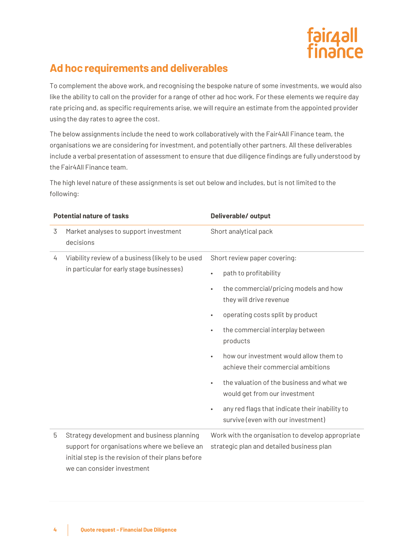

# **Ad hoc requirements and deliverables**

To complement the above work, and recognising the bespoke nature of some investments, we would also like the ability to call on the provider for a range of other ad hoc work. For these elements we require day rate pricing and, as specific requirements arise, we will require an estimate from the appointed provider using the day rates to agree the cost.

The below assignments include the need to work collaboratively with the Fair4All Finance team, the organisations we are considering for investment, and potentially other partners. All these deliverables include a verbal presentation of assessment to ensure that due diligence findings are fully understood by the Fair4All Finance team.

The high level nature of these assignments is set out below and includes, but is not limited to the following:

| <b>Potential nature of tasks</b> |                                                                                                                                                                                 | Deliverable/output                                                                                |  |  |
|----------------------------------|---------------------------------------------------------------------------------------------------------------------------------------------------------------------------------|---------------------------------------------------------------------------------------------------|--|--|
| 3                                | Market analyses to support investment<br>decisions                                                                                                                              | Short analytical pack                                                                             |  |  |
| 4                                | Viability review of a business (likely to be used<br>in particular for early stage businesses)                                                                                  | Short review paper covering:                                                                      |  |  |
|                                  |                                                                                                                                                                                 | path to profitability<br>$\bullet$                                                                |  |  |
|                                  |                                                                                                                                                                                 | the commercial/pricing models and how<br>$\bullet$<br>they will drive revenue                     |  |  |
|                                  |                                                                                                                                                                                 | operating costs split by product<br>$\bullet$                                                     |  |  |
|                                  |                                                                                                                                                                                 | the commercial interplay between<br>$\bullet$<br>products                                         |  |  |
|                                  |                                                                                                                                                                                 | how our investment would allow them to<br>$\bullet$<br>achieve their commercial ambitions         |  |  |
|                                  |                                                                                                                                                                                 | the valuation of the business and what we<br>$\bullet$<br>would get from our investment           |  |  |
|                                  |                                                                                                                                                                                 | any red flags that indicate their inability to<br>$\bullet$<br>survive (even with our investment) |  |  |
| 5                                | Strategy development and business planning<br>support for organisations where we believe an<br>initial step is the revision of their plans before<br>we can consider investment | Work with the organisation to develop appropriate<br>strategic plan and detailed business plan    |  |  |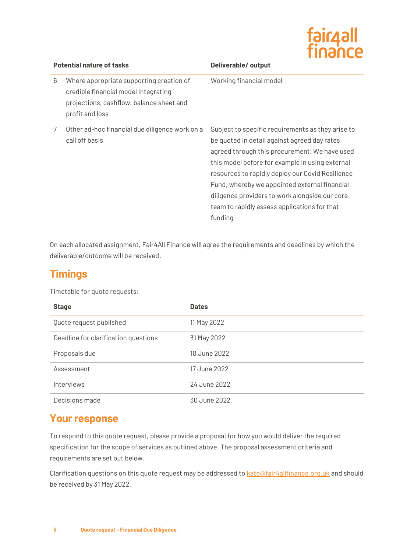| <b>Il6pirg</b> |  |
|----------------|--|
| finahce        |  |
|                |  |

| <b>Potential nature of tasks</b> |                                                                                                                                                 | Deliverable/output                                                                                                                                                                                                                                                                                                                                                                                                      |  |  |
|----------------------------------|-------------------------------------------------------------------------------------------------------------------------------------------------|-------------------------------------------------------------------------------------------------------------------------------------------------------------------------------------------------------------------------------------------------------------------------------------------------------------------------------------------------------------------------------------------------------------------------|--|--|
| 6                                | Where appropriate supporting creation of<br>credible financial model integrating<br>projections, cashflow, balance sheet and<br>profit and loss | Working financial model                                                                                                                                                                                                                                                                                                                                                                                                 |  |  |
| 7                                | Other ad-hoc financial due diligence work on a<br>call off basis                                                                                | Subject to specific requirements as they arise to<br>be quoted in detail against agreed day rates<br>agreed through this procurement. We have used<br>this model before for example in using external<br>resources to rapidly deploy our Covid Resilience<br>Fund, whereby we appointed external financial<br>diligence providers to work alongside our core<br>team to rapidly assess applications for that<br>funding |  |  |

On each allocated assignment, Fair4All Finance will agree the requirements and deadlines by which the deliverable/outcome will be received.

#### **Timings**

Timetable for quote requests:

| <b>Stage</b>                         | <b>Dates</b> |
|--------------------------------------|--------------|
| Quote request published              | 11 May 2022  |
| Deadline for clarification questions | 31 May 2022  |
| Proposals due                        | 10 June 2022 |
| Assessment                           | 17 June 2022 |
| Interviews                           | 24 June 2022 |
| Decisions made                       | 30 June 2022 |

#### **Your response**

To respond to this quote request, please provide a proposal for how you would deliver the required specification for the scope of services as outlined above. The proposal assessment criteria and requirements are set out below.

Clarification questions on this quote request may be addressed t[o kate@fair4allfinance.org.uk](mailto:kate@fair4allfinance.org.uk) and should be received by 31 May 2022.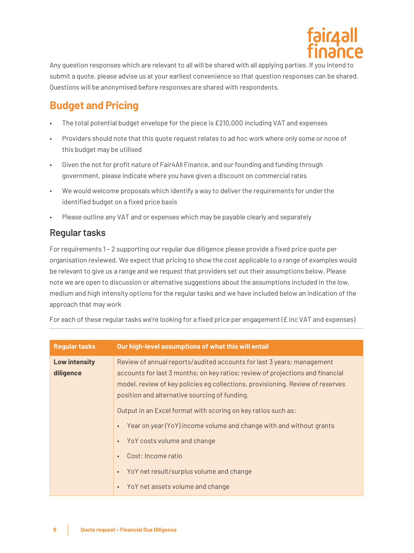

Any question responses which are relevant to all will be shared with all applying parties. If you intend to submit a quote, please advise us at your earliest convenience so that question responses can be shared. Questions will be anonymised before responses are shared with respondents.

# **Budget and Pricing**

- The total potential budget envelope for the piece is £210,000 including VAT and expenses
- Providers should note that this quote request relates to ad hoc work where only some or none of this budget may be utilised
- Given the not for profit nature of Fair4All Finance, and our founding and funding through government, please indicate where you have given a discount on commercial rates
- We would welcome proposals which identify a way to deliver the requirements for under the identified budget on a fixed price basis
- Please outline any VAT and or expenses which may be payable clearly and separately

#### **Regular tasks**

For requirements 1 – 2 supporting our regular due diligence please provide a fixed price quote per organisation reviewed. We expect that pricing to show the cost applicable to a range of examples would be relevant to give us a range and we request that providers set out their assumptions below. Please note we are open to discussion or alternative suggestions about the assumptions included in the low, medium and high intensity options for the regular tasks and we have included below an indication of the approach that may work

**Regular tasks Our high-level assumptions of what this will entail Low intensity diligence**  Review of annual reports/audited accounts for last 3 years; management accounts for last 3 months; on key ratios; review of projections and financial model, review of key policies eg collections, provisioning. Review of reserves position and alternative sourcing of funding. Output in an Excel format with scoring on key ratios such as: • Year on year (YoY) income volume and change with and without grants • YoY costs volume and change • Cost: Income ratio • YoY net result/surplus volume and change

For each of these regular tasks we're looking for a fixed price per engagement ( $E$  inc VAT and expenses)

• YoY net assets volume and change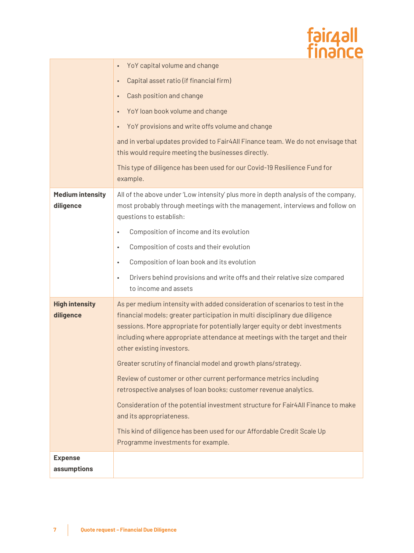|                                      | fair4all<br>finance                                                                                                                                                                                                                                                                                                                                      |
|--------------------------------------|----------------------------------------------------------------------------------------------------------------------------------------------------------------------------------------------------------------------------------------------------------------------------------------------------------------------------------------------------------|
|                                      | YoY capital volume and change<br>$\bullet$                                                                                                                                                                                                                                                                                                               |
|                                      | Capital asset ratio (if financial firm)<br>$\bullet$                                                                                                                                                                                                                                                                                                     |
|                                      | Cash position and change<br>$\bullet$                                                                                                                                                                                                                                                                                                                    |
|                                      | YoY loan book volume and change<br>$\bullet$                                                                                                                                                                                                                                                                                                             |
|                                      | YoY provisions and write offs volume and change<br>$\bullet$                                                                                                                                                                                                                                                                                             |
|                                      | and in verbal updates provided to Fair4All Finance team. We do not envisage that<br>this would require meeting the businesses directly.                                                                                                                                                                                                                  |
|                                      | This type of diligence has been used for our Covid-19 Resilience Fund for<br>example.                                                                                                                                                                                                                                                                    |
| <b>Medium intensity</b><br>diligence | All of the above under 'Low intensity' plus more in depth analysis of the company,<br>most probably through meetings with the management, interviews and follow on<br>questions to establish:                                                                                                                                                            |
|                                      | Composition of income and its evolution<br>$\bullet$                                                                                                                                                                                                                                                                                                     |
|                                      | Composition of costs and their evolution<br>$\bullet$                                                                                                                                                                                                                                                                                                    |
|                                      | Composition of loan book and its evolution<br>$\bullet$                                                                                                                                                                                                                                                                                                  |
|                                      | Drivers behind provisions and write offs and their relative size compared<br>$\bullet$<br>to income and assets                                                                                                                                                                                                                                           |
| <b>High intensity</b><br>diligence   | As per medium intensity with added consideration of scenarios to test in the<br>financial models; greater participation in multi disciplinary due diligence<br>sessions. More appropriate for potentially larger equity or debt investments<br>including where appropriate attendance at meetings with the target and their<br>other existing investors. |
|                                      | Greater scrutiny of financial model and growth plans/strategy.                                                                                                                                                                                                                                                                                           |
|                                      | Review of customer or other current performance metrics including<br>retrospective analyses of loan books; customer revenue analytics.                                                                                                                                                                                                                   |
|                                      | Consideration of the potential investment structure for Fair4All Finance to make<br>and its appropriateness.                                                                                                                                                                                                                                             |
|                                      | This kind of diligence has been used for our Affordable Credit Scale Up<br>Programme investments for example.                                                                                                                                                                                                                                            |
| <b>Expense</b>                       |                                                                                                                                                                                                                                                                                                                                                          |
| assumptions                          |                                                                                                                                                                                                                                                                                                                                                          |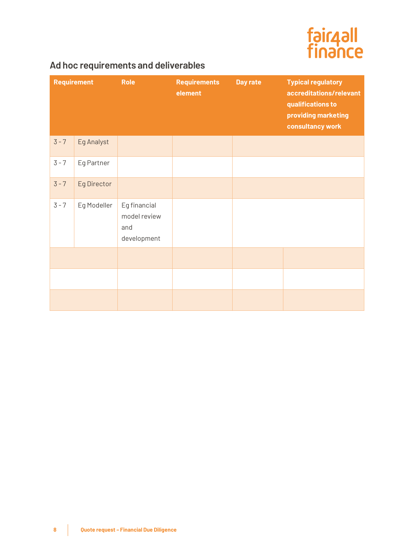

#### **Ad hoc requirements and deliverables**

|         | <b>Requirement</b> | <b>Role</b>                                        | <b>Requirements</b><br>element | Day rate | <b>Typical regulatory</b><br>accreditations/relevant<br>qualifications to<br>providing marketing<br>consultancy work |
|---------|--------------------|----------------------------------------------------|--------------------------------|----------|----------------------------------------------------------------------------------------------------------------------|
| $3 - 7$ | Eg Analyst         |                                                    |                                |          |                                                                                                                      |
| $3 - 7$ | Eg Partner         |                                                    |                                |          |                                                                                                                      |
| $3 - 7$ | Eg Director        |                                                    |                                |          |                                                                                                                      |
| $3 - 7$ | Eg Modeller        | Eg financial<br>model review<br>and<br>development |                                |          |                                                                                                                      |
|         |                    |                                                    |                                |          |                                                                                                                      |
|         |                    |                                                    |                                |          |                                                                                                                      |
|         |                    |                                                    |                                |          |                                                                                                                      |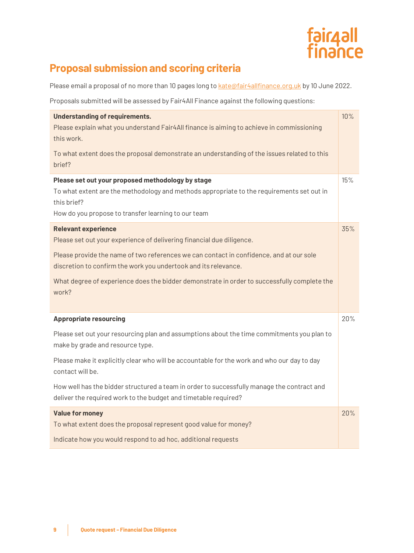

# **Proposal submission and scoring criteria**

Please email a proposal of no more than 10 pages long t[o kate@fair4allfinance.org.uk](mailto:kate@fair4allfinance.org.uk) by 10 June 2022.

Proposals submitted will be assessed by Fair4All Finance against the following questions:

| <b>Understanding of requirements.</b><br>Please explain what you understand Fair4All finance is aiming to achieve in commissioning<br>this work.<br>To what extent does the proposal demonstrate an understanding of the issues related to this<br>brief?                                                                                                                                                                                           | 10% |
|-----------------------------------------------------------------------------------------------------------------------------------------------------------------------------------------------------------------------------------------------------------------------------------------------------------------------------------------------------------------------------------------------------------------------------------------------------|-----|
| Please set out your proposed methodology by stage<br>To what extent are the methodology and methods appropriate to the requirements set out in<br>this brief?<br>How do you propose to transfer learning to our team                                                                                                                                                                                                                                | 15% |
| <b>Relevant experience</b><br>Please set out your experience of delivering financial due diligence.<br>Please provide the name of two references we can contact in confidence, and at our sole<br>discretion to confirm the work you undertook and its relevance.<br>What degree of experience does the bidder demonstrate in order to successfully complete the<br>work?                                                                           | 35% |
| <b>Appropriate resourcing</b><br>Please set out your resourcing plan and assumptions about the time commitments you plan to<br>make by grade and resource type.<br>Please make it explicitly clear who will be accountable for the work and who our day to day<br>contact will be.<br>How well has the bidder structured a team in order to successfully manage the contract and<br>deliver the required work to the budget and timetable required? | 20% |
| <b>Value for money</b><br>To what extent does the proposal represent good value for money?<br>Indicate how you would respond to ad hoc, additional requests                                                                                                                                                                                                                                                                                         | 20% |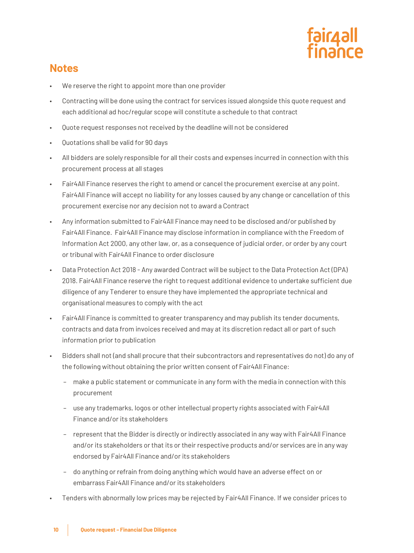

#### **Notes**

- We reserve the right to appoint more than one provider
- Contracting will be done using the contract for services issued alongside this quote request and each additional ad hoc/regular scope will constitute a schedule to that contract
- Quote request responses not received by the deadline will not be considered
- Quotations shall be valid for 90 days
- All bidders are solely responsible for all their costs and expenses incurred in connection with this procurement process at all stages
- Fair4All Finance reserves the right to amend or cancel the procurement exercise at any point. Fair4All Finance will accept no liability for any losses caused by any change or cancellation of this procurement exercise nor any decision not to award a Contract
- Any information submitted to Fair4All Finance may need to be disclosed and/or published by Fair4All Finance. Fair4All Finance may disclose information in compliance with the Freedom of Information Act 2000, any other law, or, as a consequence of judicial order, or order by any court or tribunal with Fair4All Finance to order disclosure
- Data Protection Act 2018 Any awarded Contract will be subject to the Data Protection Act (DPA) 2018. Fair4All Finance reserve the right to request additional evidence to undertake sufficient due diligence of any Tenderer to ensure they have implemented the appropriate technical and organisational measures to comply with the act
- Fair4All Finance is committed to greater transparency and may publish its tender documents, contracts and data from invoices received and may at its discretion redact all or part of such information prior to publication
- Bidders shall not (and shall procure that their subcontractors and representatives do not) do any of the following without obtaining the prior written consent of Fair4All Finance:
	- make a public statement or communicate in any form with the media in connection with this procurement
	- use any trademarks, logos or other intellectual property rights associated with Fair4All Finance and/or its stakeholders
	- represent that the Bidder is directly or indirectly associated in any way with Fair4All Finance and/or its stakeholders or that its or their respective products and/or services are in any way endorsed by Fair4All Finance and/or its stakeholders
	- do anything or refrain from doing anything which would have an adverse effect on or embarrass Fair4All Finance and/or its stakeholders
	- Tenders with abnormally low prices may be rejected by Fair4All Finance. If we consider prices to